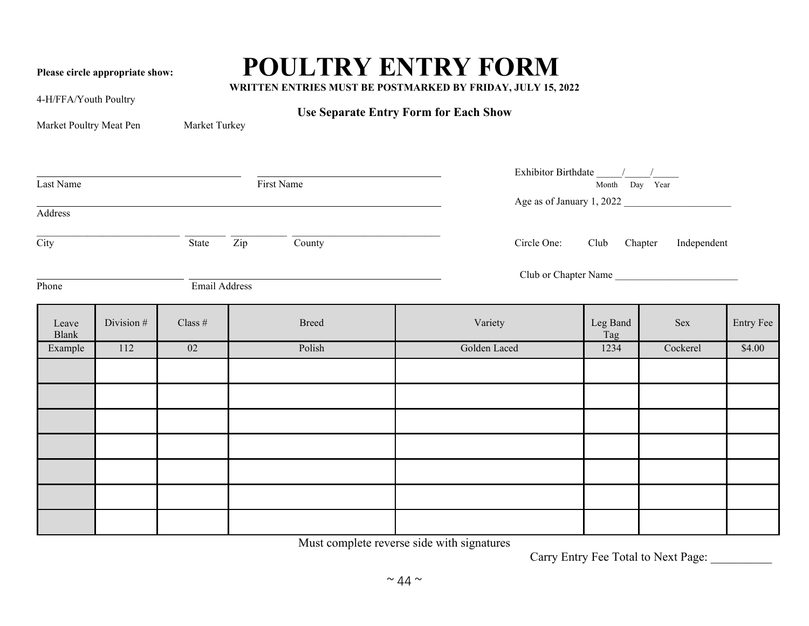## Please circle appropriate show: **POULTRY ENTRY FORM**<br>WRITTEN ENTRIES MUST BE POSTMARKED BY FRIDAY, JULY 15, 2022

4-H/FFA/Youth Poultry

**Use Separate Entry Form for Each Show**

| Market Poultry Meat Pen |
|-------------------------|
|                         |

**Market Turkey** 

| Last Name<br>First Name<br>Address |            |               |                                                                         |                          | Exhibitor Birthdate $\frac{1}{\sqrt{1-\frac{1}{2}}}$<br>Month Day Year<br>Age as of January 1, 2022 |                      |           |  |
|------------------------------------|------------|---------------|-------------------------------------------------------------------------|--------------------------|-----------------------------------------------------------------------------------------------------|----------------------|-----------|--|
| $\overline{\text{City}}$           |            | State         | $\overline{\frac{\text{Country}}{\text{Country}}}}$<br>$\overline{Zip}$ | Circle One: Club Chapter |                                                                                                     | Independent          |           |  |
| Phone                              |            | Email Address |                                                                         |                          |                                                                                                     | Club or Chapter Name |           |  |
| Leave<br>Blank                     | Division # | Class $#$     | <b>Breed</b>                                                            | Variety                  | Leg Band<br>Tag                                                                                     | Sex                  | Entry Fee |  |
| Example                            | 112        | 02            | Polish                                                                  | Golden Laced             | 1234                                                                                                | Cockerel             | \$4.00    |  |
|                                    |            |               |                                                                         |                          |                                                                                                     |                      |           |  |
|                                    |            |               |                                                                         |                          |                                                                                                     |                      |           |  |
|                                    |            |               |                                                                         |                          |                                                                                                     |                      |           |  |
|                                    |            |               |                                                                         |                          |                                                                                                     |                      |           |  |
|                                    |            |               |                                                                         |                          |                                                                                                     |                      |           |  |
|                                    |            |               |                                                                         |                          |                                                                                                     |                      |           |  |
|                                    |            |               |                                                                         |                          |                                                                                                     |                      |           |  |

Must complete reverse side with signatures

Carry Entry Fee Total to Next Page: